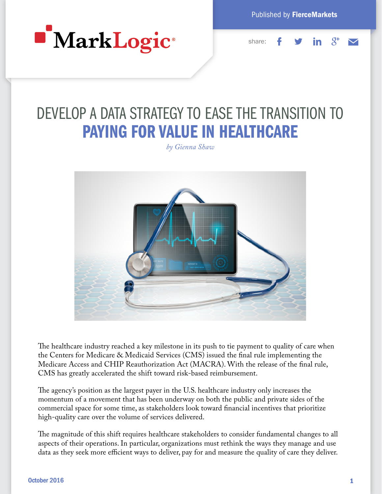

Published by FierceMarkets



# DEVELOP A DATA STRATEGY TO EASE THE TRANSITION TO PAYING FOR VALUE IN HEALTHCARE

*by Gienna Shaw*



The healthcare industry reached a key milestone in its push to tie payment to quality of care when the Centers for Medicare & Medicaid Services (CMS) issued the final rule implementing the Medicare Access and CHIP Reauthorization Act (MACRA). With the release of the final rule, CMS has greatly accelerated the shift toward risk-based reimbursement.

The agency's position as the largest payer in the U.S. healthcare industry only increases the momentum of a movement that has been underway on both the public and private sides of the commercial space for some time, as stakeholders look toward financial incentives that prioritize high-quality care over the volume of services delivered.

The magnitude of this shift requires healthcare stakeholders to consider fundamental changes to all aspects of their operations. In particular, organizations must rethink the ways they manage and use data as they seek more efficient ways to deliver, pay for and measure the quality of care they deliver.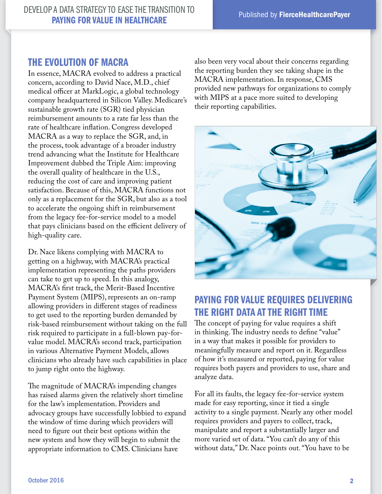#### THE EVOLUTION OF MACRA

In essence, MACRA evolved to address a practical concern, according to David Nace, M.D., chief medical officer at MarkLogic, a global technology company headquartered in Silicon Valley. Medicare's sustainable growth rate (SGR) tied physician reimbursement amounts to a rate far less than the rate of healthcare inflation. Congress developed MACRA as a way to replace the SGR, and, in the process, took advantage of a broader industry trend advancing what the Institute for Healthcare Improvement dubbed the Triple Aim: improving the overall quality of healthcare in the U.S., reducing the cost of care and improving patient satisfaction. Because of this, MACRA functions not only as a replacement for the SGR, but also as a tool to accelerate the ongoing shift in reimbursement from the legacy fee-for-service model to a model that pays clinicians based on the efficient delivery of high-quality care.

Dr. Nace likens complying with MACRA to getting on a highway, with MACRA's practical implementation representing the paths providers can take to get up to speed. In this analogy, MACRA's first track, the Merit-Based Incentive Payment System (MIPS), represents an on-ramp allowing providers in different stages of readiness to get used to the reporting burden demanded by risk-based reimbursement without taking on the full risk required to participate in a full-blown pay-forvalue model. MACRA's second track, participation in various Alternative Payment Models, allows clinicians who already have such capabilities in place to jump right onto the highway.

The magnitude of MACRA's impending changes has raised alarms given the relatively short timeline for the law's implementation. Providers and advocacy groups have successfully lobbied to expand the window of time during which providers will need to figure out their best options within the new system and how they will begin to submit the appropriate information to CMS. Clinicians have

also been very vocal about their concerns regarding the reporting burden they see taking shape in the MACRA implementation. In response, CMS provided new pathways for organizations to comply with MIPS at a pace more suited to developing their reporting capabilities.



## PAYING FOR VALUE REQUIRES DELIVERING THE RIGHT DATA AT THE RIGHT TIME

The concept of paying for value requires a shift in thinking. The industry needs to define "value" in a way that makes it possible for providers to meaningfully measure and report on it. Regardless of how it's measured or reported, paying for value requires both payers and providers to use, share and analyze data.

For all its faults, the legacy fee-for-service system made for easy reporting, since it tied a single activity to a single payment. Nearly any other model requires providers and payers to collect, track, manipulate and report a substantially larger and more varied set of data. "You can't do any of this without data," Dr. Nace points out. "You have to be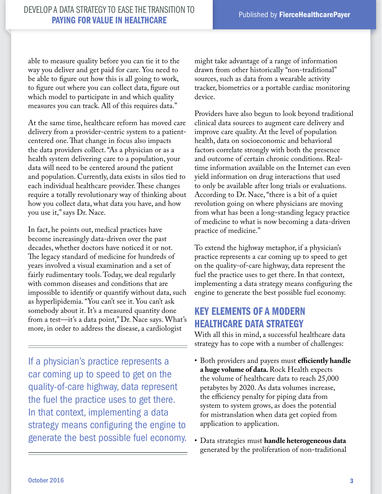able to measure quality before you can tie it to the way you deliver and get paid for care. You need to be able to figure out how this is all going to work, to figure out where you can collect data, figure out which model to participate in and which quality measures you can track. All of this requires data."

At the same time, healthcare reform has moved care delivery from a provider-centric system to a patientcentered one. That change in focus also impacts the data providers collect. "As a physician or as a health system delivering care to a population, your data will need to be centered around the patient and population. Currently, data exists in silos tied to each individual healthcare provider. These changes require a totally revolutionary way of thinking about how you collect data, what data you have, and how you use it," says Dr. Nace.

In fact, he points out, medical practices have become increasingly data-driven over the past decades, whether doctors have noticed it or not. The legacy standard of medicine for hundreds of years involved a visual examination and a set of fairly rudimentary tools. Today, we deal regularly with common diseases and conditions that are impossible to identify or quantify without data, such as hyperlipidemia. "You can't see it. You can't ask somebody about it. It's a measured quantity done from a test—it's a data point," Dr. Nace says. What's more, in order to address the disease, a cardiologist

If a physician's practice represents a car coming up to speed to get on the quality-of-care highway, data represent the fuel the practice uses to get there. In that context, implementing a data strategy means configuring the engine to generate the best possible fuel economy.

might take advantage of a range of information drawn from other historically "non-traditional" sources, such as data from a wearable activity tracker, biometrics or a portable cardiac monitoring device.

Providers have also begun to look beyond traditional clinical data sources to augment care delivery and improve care quality. At the level of population health, data on socioeconomic and behavioral factors correlate strongly with both the presence and outcome of certain chronic conditions. Realtime information available on the Internet can even yield information on drug interactions that used to only be available after long trials or evaluations. According to Dr. Nace, "there is a bit of a quiet revolution going on where physicians are moving from what has been a long-standing legacy practice of medicine to what is now becoming a data-driven practice of medicine."

To extend the highway metaphor, if a physician's practice represents a car coming up to speed to get on the quality-of-care highway, data represent the fuel the practice uses to get there. In that context, implementing a data strategy means configuring the engine to generate the best possible fuel economy.

## KEY ELEMENTS OF A MODERN HEALTHCARE DATA STRATEGY

With all this in mind, a successful healthcare data strategy has to cope with a number of challenges:

- Both providers and payers must **efficiently handle a huge volume of data.** Rock Health expects the volume of healthcare data to reach 25,000 petabytes by 2020. As data volumes increase, the efficiency penalty for piping data from system to system grows, as does the potential for mistranslation when data get copied from application to application.
- Data strategies must **handle heterogeneous data**  generated by the proliferation of non-traditional